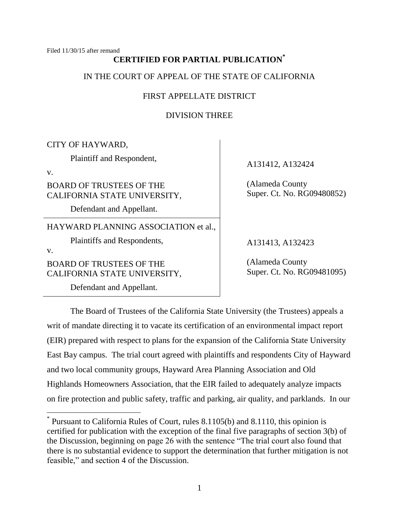Filed 11/30/15 after remand

# **CERTIFIED FOR PARTIAL PUBLICATION\***

IN THE COURT OF APPEAL OF THE STATE OF CALIFORNIA

## FIRST APPELLATE DISTRICT

DIVISION THREE

CITY OF HAYWARD,

Plaintiff and Respondent,

v.

BOARD OF TRUSTEES OF THE CALIFORNIA STATE UNIVERSITY,

Defendant and Appellant.

HAYWARD PLANNING ASSOCIATION et al.,

Plaintiffs and Respondents,

v.

BOARD OF TRUSTEES OF THE CALIFORNIA STATE UNIVERSITY,

Defendant and Appellant.

A131412, A132424

(Alameda County Super. Ct. No. RG09480852)

A131413, A132423

(Alameda County Super. Ct. No. RG09481095)

The Board of Trustees of the California State University (the Trustees) appeals a writ of mandate directing it to vacate its certification of an environmental impact report (EIR) prepared with respect to plans for the expansion of the California State University East Bay campus. The trial court agreed with plaintiffs and respondents City of Hayward and two local community groups, Hayward Area Planning Association and Old Highlands Homeowners Association, that the EIR failed to adequately analyze impacts on fire protection and public safety, traffic and parking, air quality, and parklands. In our

<sup>\*</sup> Pursuant to California Rules of Court, rules 8.1105(b) and 8.1110, this opinion is certified for publication with the exception of the final five paragraphs of section 3(b) of the Discussion, beginning on page 26 with the sentence "The trial court also found that there is no substantial evidence to support the determination that further mitigation is not feasible," and section 4 of the Discussion.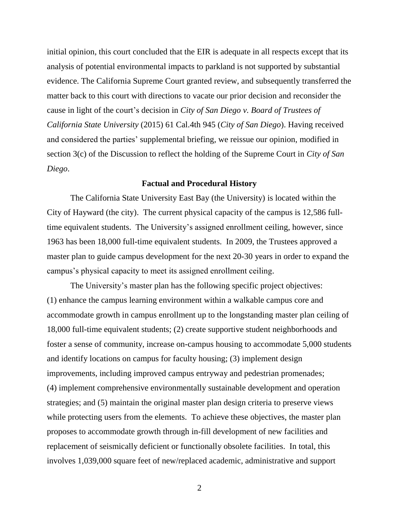initial opinion, this court concluded that the EIR is adequate in all respects except that its analysis of potential environmental impacts to parkland is not supported by substantial evidence. The California Supreme Court granted review, and subsequently transferred the matter back to this court with directions to vacate our prior decision and reconsider the cause in light of the court's decision in *City of San Diego v. Board of Trustees of California State University* (2015) 61 Cal.4th 945 (*City of San Diego*). Having received and considered the parties' supplemental briefing, we reissue our opinion, modified in section 3(c) of the Discussion to reflect the holding of the Supreme Court in *City of San Diego*.

#### **Factual and Procedural History**

The California State University East Bay (the University) is located within the City of Hayward (the city). The current physical capacity of the campus is 12,586 fulltime equivalent students. The University's assigned enrollment ceiling, however, since 1963 has been 18,000 full-time equivalent students. In 2009, the Trustees approved a master plan to guide campus development for the next 20-30 years in order to expand the campus's physical capacity to meet its assigned enrollment ceiling.

The University's master plan has the following specific project objectives: (1) enhance the campus learning environment within a walkable campus core and accommodate growth in campus enrollment up to the longstanding master plan ceiling of 18,000 full-time equivalent students; (2) create supportive student neighborhoods and foster a sense of community, increase on-campus housing to accommodate 5,000 students and identify locations on campus for faculty housing; (3) implement design improvements, including improved campus entryway and pedestrian promenades; (4) implement comprehensive environmentally sustainable development and operation strategies; and (5) maintain the original master plan design criteria to preserve views while protecting users from the elements. To achieve these objectives, the master plan proposes to accommodate growth through in-fill development of new facilities and replacement of seismically deficient or functionally obsolete facilities. In total, this involves 1,039,000 square feet of new/replaced academic, administrative and support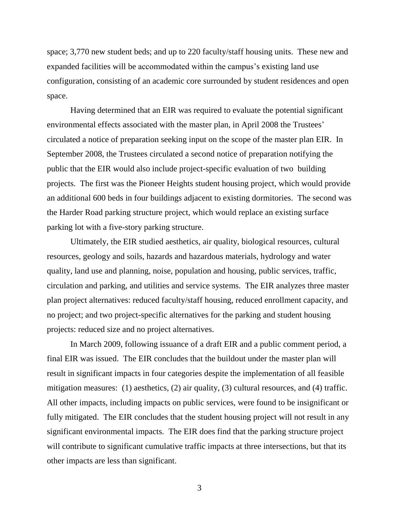space; 3,770 new student beds; and up to 220 faculty/staff housing units. These new and expanded facilities will be accommodated within the campus's existing land use configuration, consisting of an academic core surrounded by student residences and open space.

Having determined that an EIR was required to evaluate the potential significant environmental effects associated with the master plan, in April 2008 the Trustees' circulated a notice of preparation seeking input on the scope of the master plan EIR. In September 2008, the Trustees circulated a second notice of preparation notifying the public that the EIR would also include project-specific evaluation of two building projects. The first was the Pioneer Heights student housing project, which would provide an additional 600 beds in four buildings adjacent to existing dormitories. The second was the Harder Road parking structure project, which would replace an existing surface parking lot with a five-story parking structure.

Ultimately, the EIR studied aesthetics, air quality, biological resources, cultural resources, geology and soils, hazards and hazardous materials, hydrology and water quality, land use and planning, noise, population and housing, public services, traffic, circulation and parking, and utilities and service systems. The EIR analyzes three master plan project alternatives: reduced faculty/staff housing, reduced enrollment capacity, and no project; and two project-specific alternatives for the parking and student housing projects: reduced size and no project alternatives.

In March 2009, following issuance of a draft EIR and a public comment period, a final EIR was issued. The EIR concludes that the buildout under the master plan will result in significant impacts in four categories despite the implementation of all feasible mitigation measures: (1) aesthetics, (2) air quality, (3) cultural resources, and (4) traffic. All other impacts, including impacts on public services, were found to be insignificant or fully mitigated. The EIR concludes that the student housing project will not result in any significant environmental impacts. The EIR does find that the parking structure project will contribute to significant cumulative traffic impacts at three intersections, but that its other impacts are less than significant.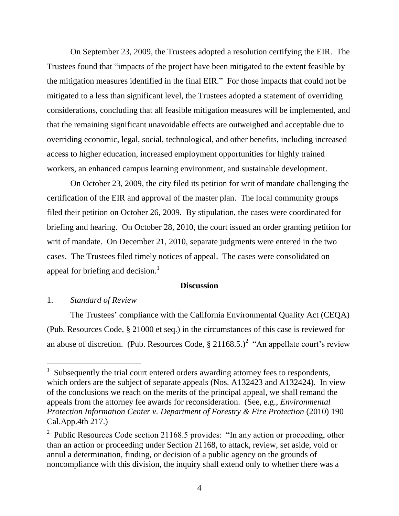On September 23, 2009, the Trustees adopted a resolution certifying the EIR. The Trustees found that "impacts of the project have been mitigated to the extent feasible by the mitigation measures identified in the final EIR." For those impacts that could not be mitigated to a less than significant level, the Trustees adopted a statement of overriding considerations, concluding that all feasible mitigation measures will be implemented, and that the remaining significant unavoidable effects are outweighed and acceptable due to overriding economic, legal, social, technological, and other benefits, including increased access to higher education, increased employment opportunities for highly trained workers, an enhanced campus learning environment, and sustainable development.

On October 23, 2009, the city filed its petition for writ of mandate challenging the certification of the EIR and approval of the master plan. The local community groups filed their petition on October 26, 2009. By stipulation, the cases were coordinated for briefing and hearing. On October 28, 2010, the court issued an order granting petition for writ of mandate. On December 21, 2010, separate judgments were entered in the two cases. The Trustees filed timely notices of appeal. The cases were consolidated on appeal for briefing and decision. $<sup>1</sup>$ </sup>

#### **Discussion**

## 1. *Standard of Review*

 $\overline{a}$ 

The Trustees' compliance with the California Environmental Quality Act (CEQA) (Pub. Resources Code, § 21000 et seq.) in the circumstances of this case is reviewed for an abuse of discretion. (Pub. Resources Code,  $\S 21168.5$ .)<sup>2</sup> "An appellate court's review

<sup>1</sup> Subsequently the trial court entered orders awarding attorney fees to respondents, which orders are the subject of separate appeals (Nos. A132423 and A132424). In view of the conclusions we reach on the merits of the principal appeal, we shall remand the appeals from the attorney fee awards for reconsideration. (See, e.g., *Environmental Protection Information Center v. Department of Forestry & Fire Protection* (2010) 190 Cal.App.4th 217.)

<sup>&</sup>lt;sup>2</sup> Public Resources Code section 21168.5 provides: "In any action or proceeding, other than an action or proceeding under Section 21168, to attack, review, set aside, void or annul a determination, finding, or decision of a public agency on the grounds of noncompliance with this division, the inquiry shall extend only to whether there was a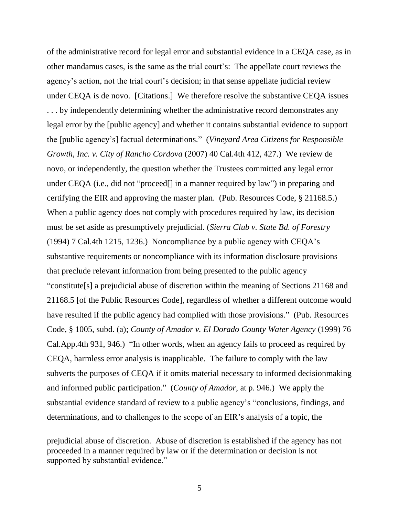of the administrative record for legal error and substantial evidence in a CEQA case, as in other mandamus cases, is the same as the trial court's: The appellate court reviews the agency's action, not the trial court's decision; in that sense appellate judicial review under CEQA is de novo. [Citations.] We therefore resolve the substantive CEQA issues ... by independently determining whether the administrative record demonstrates any legal error by the [public agency] and whether it contains substantial evidence to support the [public agency's] factual determinations." (*Vineyard Area Citizens for Responsible Growth, Inc. v. City of Rancho Cordova* (2007) 40 Cal.4th 412, 427.) We review de novo, or independently, the question whether the Trustees committed any legal error under CEQA (i.e., did not "proceed[] in a manner required by law") in preparing and certifying the EIR and approving the master plan. (Pub. Resources Code, § 21168.5.) When a public agency does not comply with procedures required by law, its decision must be set aside as presumptively prejudicial. (*Sierra Club v. State Bd. of Forestry* (1994) 7 Cal.4th 1215, 1236.) Noncompliance by a public agency with CEQA's substantive requirements or noncompliance with its information disclosure provisions that preclude relevant information from being presented to the public agency "constitute[s] a prejudicial abuse of discretion within the meaning of Sections 21168 and 21168.5 [of the Public Resources Code], regardless of whether a different outcome would have resulted if the public agency had complied with those provisions." (Pub. Resources Code, § 1005, subd. (a); *County of Amador v. El Dorado County Water Agency* (1999) 76 Cal.App.4th 931, 946.) "In other words, when an agency fails to proceed as required by CEQA, harmless error analysis is inapplicable. The failure to comply with the law subverts the purposes of CEQA if it omits material necessary to informed decisionmaking and informed public participation." (*County of Amador*, at p. 946.) We apply the substantial evidence standard of review to a public agency's "conclusions, findings, and determinations, and to challenges to the scope of an EIR's analysis of a topic, the

prejudicial abuse of discretion. Abuse of discretion is established if the agency has not proceeded in a manner required by law or if the determination or decision is not supported by substantial evidence."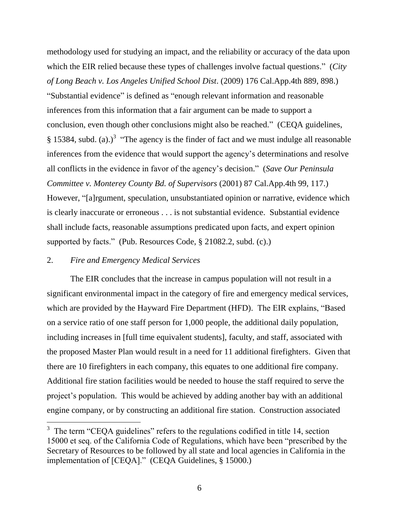methodology used for studying an impact, and the reliability or accuracy of the data upon which the EIR relied because these types of challenges involve factual questions." (*City of Long Beach v. Los Angeles Unified School Dist*. (2009) 176 Cal.App.4th 889, 898.) "Substantial evidence" is defined as "enough relevant information and reasonable inferences from this information that a fair argument can be made to support a conclusion, even though other conclusions might also be reached." (CEQA guidelines, § 15384, subd. (a).)<sup>3</sup> "The agency is the finder of fact and we must indulge all reasonable inferences from the evidence that would support the agency's determinations and resolve all conflicts in the evidence in favor of the agency's decision." (*Save Our Peninsula Committee v. Monterey County Bd. of Supervisors* (2001) 87 Cal.App.4th 99, 117.) However, "[a]rgument, speculation, unsubstantiated opinion or narrative, evidence which is clearly inaccurate or erroneous . . . is not substantial evidence. Substantial evidence shall include facts, reasonable assumptions predicated upon facts, and expert opinion supported by facts." (Pub. Resources Code, § 21082.2, subd. (c).)

#### 2. *Fire and Emergency Medical Services*

The EIR concludes that the increase in campus population will not result in a significant environmental impact in the category of fire and emergency medical services, which are provided by the Hayward Fire Department (HFD). The EIR explains, "Based on a service ratio of one staff person for 1,000 people, the additional daily population, including increases in [full time equivalent students], faculty, and staff, associated with the proposed Master Plan would result in a need for 11 additional firefighters. Given that there are 10 firefighters in each company, this equates to one additional fire company. Additional fire station facilities would be needed to house the staff required to serve the project's population. This would be achieved by adding another bay with an additional engine company, or by constructing an additional fire station. Construction associated

 $3$  The term "CEQA guidelines" refers to the regulations codified in title 14, section 15000 et seq. of the California Code of Regulations, which have been "prescribed by the Secretary of Resources to be followed by all state and local agencies in California in the implementation of [CEQA]." (CEQA Guidelines, § 15000.)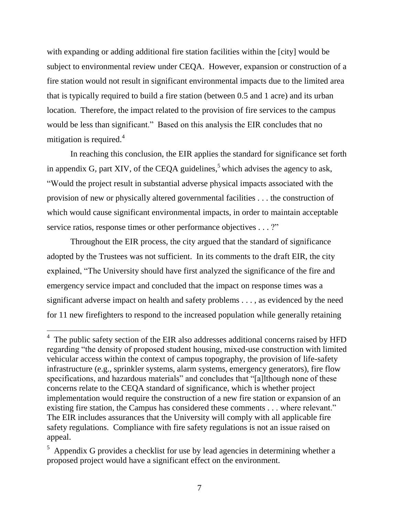with expanding or adding additional fire station facilities within the [city] would be subject to environmental review under CEQA. However, expansion or construction of a fire station would not result in significant environmental impacts due to the limited area that is typically required to build a fire station (between 0.5 and 1 acre) and its urban location. Therefore, the impact related to the provision of fire services to the campus would be less than significant." Based on this analysis the EIR concludes that no mitigation is required.<sup>4</sup>

In reaching this conclusion, the EIR applies the standard for significance set forth in appendix G, part XIV, of the CEQA guidelines,<sup>5</sup> which advises the agency to ask, "Would the project result in substantial adverse physical impacts associated with the provision of new or physically altered governmental facilities . . . the construction of which would cause significant environmental impacts, in order to maintain acceptable service ratios, response times or other performance objectives . . . ?"

Throughout the EIR process, the city argued that the standard of significance adopted by the Trustees was not sufficient. In its comments to the draft EIR, the city explained, "The University should have first analyzed the significance of the fire and emergency service impact and concluded that the impact on response times was a significant adverse impact on health and safety problems . . . , as evidenced by the need for 11 new firefighters to respond to the increased population while generally retaining

 $4$  The public safety section of the EIR also addresses additional concerns raised by HFD regarding "the density of proposed student housing, mixed-use construction with limited vehicular access within the context of campus topography, the provision of life-safety infrastructure (e.g., sprinkler systems, alarm systems, emergency generators), fire flow specifications, and hazardous materials" and concludes that "[a]lthough none of these concerns relate to the CEQA standard of significance, which is whether project implementation would require the construction of a new fire station or expansion of an existing fire station, the Campus has considered these comments . . . where relevant." The EIR includes assurances that the University will comply with all applicable fire safety regulations. Compliance with fire safety regulations is not an issue raised on appeal.

 $5$  Appendix G provides a checklist for use by lead agencies in determining whether a proposed project would have a significant effect on the environment.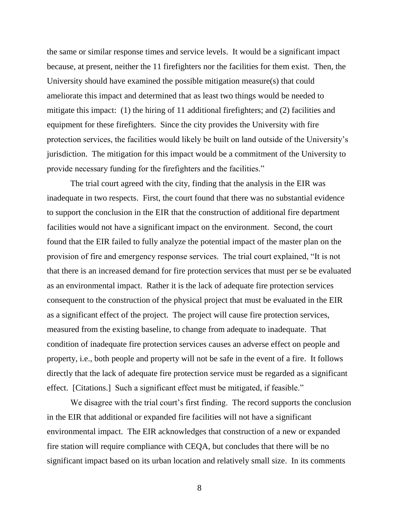the same or similar response times and service levels. It would be a significant impact because, at present, neither the 11 firefighters nor the facilities for them exist. Then, the University should have examined the possible mitigation measure(s) that could ameliorate this impact and determined that as least two things would be needed to mitigate this impact: (1) the hiring of 11 additional firefighters; and (2) facilities and equipment for these firefighters. Since the city provides the University with fire protection services, the facilities would likely be built on land outside of the University's jurisdiction. The mitigation for this impact would be a commitment of the University to provide necessary funding for the firefighters and the facilities."

The trial court agreed with the city, finding that the analysis in the EIR was inadequate in two respects. First, the court found that there was no substantial evidence to support the conclusion in the EIR that the construction of additional fire department facilities would not have a significant impact on the environment. Second, the court found that the EIR failed to fully analyze the potential impact of the master plan on the provision of fire and emergency response services. The trial court explained, "It is not that there is an increased demand for fire protection services that must per se be evaluated as an environmental impact. Rather it is the lack of adequate fire protection services consequent to the construction of the physical project that must be evaluated in the EIR as a significant effect of the project. The project will cause fire protection services, measured from the existing baseline, to change from adequate to inadequate. That condition of inadequate fire protection services causes an adverse effect on people and property, i.e., both people and property will not be safe in the event of a fire. It follows directly that the lack of adequate fire protection service must be regarded as a significant effect. [Citations.] Such a significant effect must be mitigated, if feasible."

We disagree with the trial court's first finding. The record supports the conclusion in the EIR that additional or expanded fire facilities will not have a significant environmental impact. The EIR acknowledges that construction of a new or expanded fire station will require compliance with CEQA, but concludes that there will be no significant impact based on its urban location and relatively small size. In its comments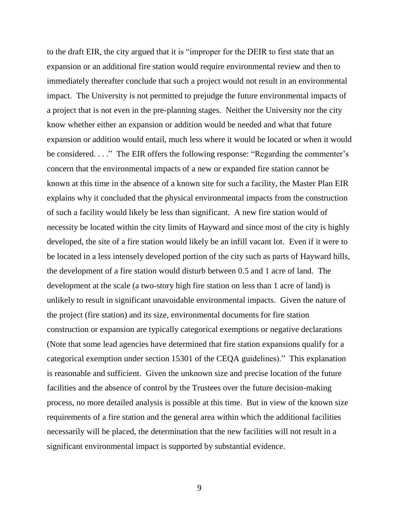to the draft EIR, the city argued that it is "improper for the DEIR to first state that an expansion or an additional fire station would require environmental review and then to immediately thereafter conclude that such a project would not result in an environmental impact. The University is not permitted to prejudge the future environmental impacts of a project that is not even in the pre-planning stages. Neither the University nor the city know whether either an expansion or addition would be needed and what that future expansion or addition would entail, much less where it would be located or when it would be considered. . . ." The EIR offers the following response: "Regarding the commenter's concern that the environmental impacts of a new or expanded fire station cannot be known at this time in the absence of a known site for such a facility, the Master Plan EIR explains why it concluded that the physical environmental impacts from the construction of such a facility would likely be less than significant. A new fire station would of necessity be located within the city limits of Hayward and since most of the city is highly developed, the site of a fire station would likely be an infill vacant lot. Even if it were to be located in a less intensely developed portion of the city such as parts of Hayward hills, the development of a fire station would disturb between 0.5 and 1 acre of land. The development at the scale (a two-story high fire station on less than 1 acre of land) is unlikely to result in significant unavoidable environmental impacts. Given the nature of the project (fire station) and its size, environmental documents for fire station construction or expansion are typically categorical exemptions or negative declarations (Note that some lead agencies have determined that fire station expansions qualify for a categorical exemption under section 15301 of the CEQA guidelines)." This explanation is reasonable and sufficient. Given the unknown size and precise location of the future facilities and the absence of control by the Trustees over the future decision-making process, no more detailed analysis is possible at this time. But in view of the known size requirements of a fire station and the general area within which the additional facilities necessarily will be placed, the determination that the new facilities will not result in a significant environmental impact is supported by substantial evidence.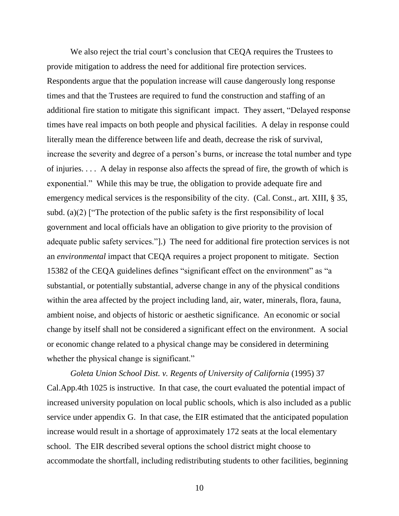We also reject the trial court's conclusion that CEQA requires the Trustees to provide mitigation to address the need for additional fire protection services. Respondents argue that the population increase will cause dangerously long response times and that the Trustees are required to fund the construction and staffing of an additional fire station to mitigate this significant impact. They assert, "Delayed response times have real impacts on both people and physical facilities. A delay in response could literally mean the difference between life and death, decrease the risk of survival, increase the severity and degree of a person's burns, or increase the total number and type of injuries. . . . A delay in response also affects the spread of fire, the growth of which is exponential." While this may be true, the obligation to provide adequate fire and emergency medical services is the responsibility of the city. (Cal. Const., art. XIII, § 35, subd. (a)(2) ["The protection of the public safety is the first responsibility of local government and local officials have an obligation to give priority to the provision of adequate public safety services."].) The need for additional fire protection services is not an *environmental* impact that CEQA requires a project proponent to mitigate. Section 15382 of the CEQA guidelines defines "significant effect on the environment" as "a substantial, or potentially substantial, adverse change in any of the physical conditions within the area affected by the project including land, air, water, minerals, flora, fauna, ambient noise, and objects of historic or aesthetic significance. An economic or social change by itself shall not be considered a significant effect on the environment. A social or economic change related to a physical change may be considered in determining whether the physical change is significant."

*Goleta Union School Dist. v. Regents of University of California* (1995) 37 Cal.App.4th 1025 is instructive. In that case, the court evaluated the potential impact of increased university population on local public schools, which is also included as a public service under appendix G. In that case, the EIR estimated that the anticipated population increase would result in a shortage of approximately 172 seats at the local elementary school. The EIR described several options the school district might choose to accommodate the shortfall, including redistributing students to other facilities, beginning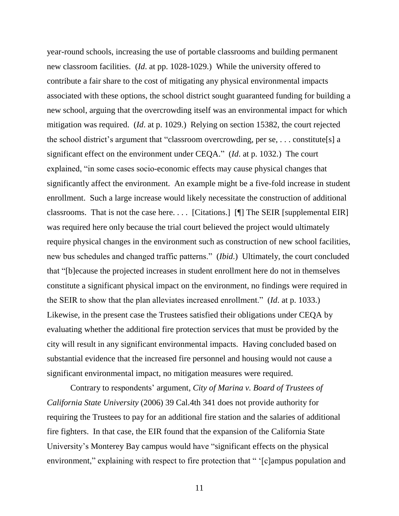year-round schools, increasing the use of portable classrooms and building permanent new classroom facilities. (*Id*. at pp. 1028-1029.) While the university offered to contribute a fair share to the cost of mitigating any physical environmental impacts associated with these options, the school district sought guaranteed funding for building a new school, arguing that the overcrowding itself was an environmental impact for which mitigation was required. (*Id*. at p. 1029.) Relying on section 15382, the court rejected the school district's argument that "classroom overcrowding, per se, . . . constitute[s] a significant effect on the environment under CEQA." (*Id*. at p. 1032.) The court explained, "in some cases socio-economic effects may cause physical changes that significantly affect the environment. An example might be a five-fold increase in student enrollment. Such a large increase would likely necessitate the construction of additional classrooms. That is not the case here. . . . [Citations.] [¶] The SEIR [supplemental EIR] was required here only because the trial court believed the project would ultimately require physical changes in the environment such as construction of new school facilities, new bus schedules and changed traffic patterns." (*Ibid*.) Ultimately, the court concluded that "[b]ecause the projected increases in student enrollment here do not in themselves constitute a significant physical impact on the environment, no findings were required in the SEIR to show that the plan alleviates increased enrollment." (*Id*. at p. 1033.) Likewise, in the present case the Trustees satisfied their obligations under CEQA by evaluating whether the additional fire protection services that must be provided by the city will result in any significant environmental impacts. Having concluded based on substantial evidence that the increased fire personnel and housing would not cause a significant environmental impact, no mitigation measures were required.

Contrary to respondents' argument*, City of Marina v. Board of Trustees of California State University* (2006) 39 Cal.4th 341 does not provide authority for requiring the Trustees to pay for an additional fire station and the salaries of additional fire fighters. In that case, the EIR found that the expansion of the California State University's Monterey Bay campus would have "significant effects on the physical environment," explaining with respect to fire protection that " '[c]ampus population and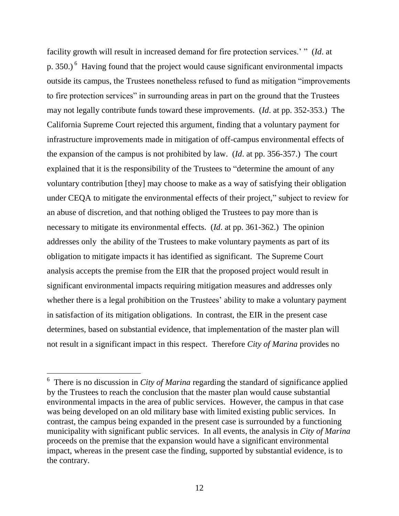facility growth will result in increased demand for fire protection services.' " (*Id*. at p. 350.) <sup>6</sup> Having found that the project would cause significant environmental impacts outside its campus, the Trustees nonetheless refused to fund as mitigation "improvements to fire protection services" in surrounding areas in part on the ground that the Trustees may not legally contribute funds toward these improvements. (*Id*. at pp. 352-353.) The California Supreme Court rejected this argument, finding that a voluntary payment for infrastructure improvements made in mitigation of off-campus environmental effects of the expansion of the campus is not prohibited by law. (*Id*. at pp. 356-357.) The court explained that it is the responsibility of the Trustees to "determine the amount of any voluntary contribution [they] may choose to make as a way of satisfying their obligation under CEQA to mitigate the environmental effects of their project," subject to review for an abuse of discretion, and that nothing obliged the Trustees to pay more than is necessary to mitigate its environmental effects. (*Id*. at pp. 361-362.) The opinion addresses only the ability of the Trustees to make voluntary payments as part of its obligation to mitigate impacts it has identified as significant. The Supreme Court analysis accepts the premise from the EIR that the proposed project would result in significant environmental impacts requiring mitigation measures and addresses only whether there is a legal prohibition on the Trustees' ability to make a voluntary payment in satisfaction of its mitigation obligations. In contrast, the EIR in the present case determines, based on substantial evidence, that implementation of the master plan will not result in a significant impact in this respect. Therefore *City of Marina* provides no

 $\overline{a}$ 

<sup>&</sup>lt;sup>6</sup> There is no discussion in *City of Marina* regarding the standard of significance applied by the Trustees to reach the conclusion that the master plan would cause substantial environmental impacts in the area of public services. However, the campus in that case was being developed on an old military base with limited existing public services. In contrast, the campus being expanded in the present case is surrounded by a functioning municipality with significant public services. In all events, the analysis in *City of Marina*  proceeds on the premise that the expansion would have a significant environmental impact, whereas in the present case the finding, supported by substantial evidence, is to the contrary.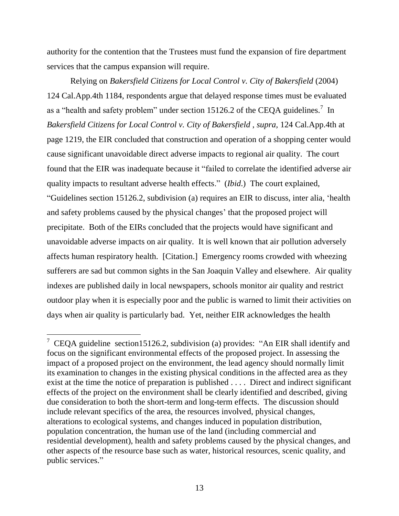authority for the contention that the Trustees must fund the expansion of fire department services that the campus expansion will require.

Relying on *Bakersfield Citizens for Local Control v. City of Bakersfield* (2004) 124 Cal.App.4th 1184, respondents argue that delayed response times must be evaluated as a "health and safety problem" under section 15126.2 of the CEQA guidelines.<sup>7</sup> In *Bakersfield Citizens for Local Control v. City of Bakersfield* , *supra,* 124 Cal.App.4th at page 1219, the EIR concluded that construction and operation of a shopping center would cause significant unavoidable direct adverse impacts to regional air quality. The court found that the EIR was inadequate because it "failed to correlate the identified adverse air quality impacts to resultant adverse health effects." (*Ibid*.) The court explained, "Guidelines section 15126.2, subdivision (a) requires an EIR to discuss, inter alia, 'health and safety problems caused by the physical changes' that the proposed project will precipitate. Both of the EIRs concluded that the projects would have significant and unavoidable adverse impacts on air quality. It is well known that air pollution adversely affects human respiratory health. [Citation.] Emergency rooms crowded with wheezing sufferers are sad but common sights in the San Joaquin Valley and elsewhere. Air quality indexes are published daily in local newspapers, schools monitor air quality and restrict outdoor play when it is especially poor and the public is warned to limit their activities on days when air quality is particularly bad. Yet, neither EIR acknowledges the health

<sup>&</sup>lt;sup>7</sup> CEQA guideline section15126.2, subdivision (a) provides: "An EIR shall identify and focus on the significant environmental effects of the proposed project. In assessing the impact of a proposed project on the environment, the lead agency should normally limit its examination to changes in the existing physical conditions in the affected area as they exist at the time the notice of preparation is published . . . . Direct and indirect significant effects of the project on the environment shall be clearly identified and described, giving due consideration to both the short-term and long-term effects. The discussion should include relevant specifics of the area, the resources involved, physical changes, alterations to ecological systems, and changes induced in population distribution, population concentration, the human use of the land (including commercial and residential development), health and safety problems caused by the physical changes, and other aspects of the resource base such as water, historical resources, scenic quality, and public services."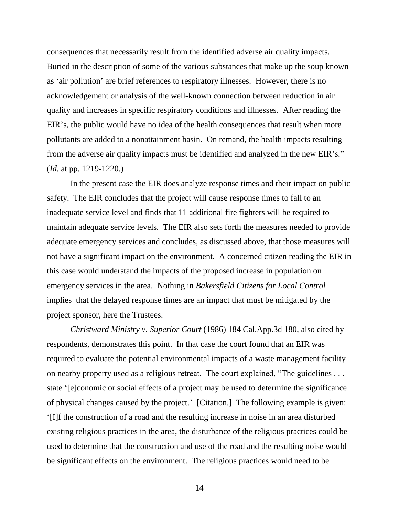consequences that necessarily result from the identified adverse air quality impacts. Buried in the description of some of the various substances that make up the soup known as 'air pollution' are brief references to respiratory illnesses. However, there is no acknowledgement or analysis of the well-known connection between reduction in air quality and increases in specific respiratory conditions and illnesses. After reading the EIR's, the public would have no idea of the health consequences that result when more pollutants are added to a nonattainment basin. On remand, the health impacts resulting from the adverse air quality impacts must be identified and analyzed in the new EIR's." (*Id.* at pp. 1219-1220.)

In the present case the EIR does analyze response times and their impact on public safety. The EIR concludes that the project will cause response times to fall to an inadequate service level and finds that 11 additional fire fighters will be required to maintain adequate service levels. The EIR also sets forth the measures needed to provide adequate emergency services and concludes, as discussed above, that those measures will not have a significant impact on the environment. A concerned citizen reading the EIR in this case would understand the impacts of the proposed increase in population on emergency services in the area. Nothing in *Bakersfield Citizens for Local Control* implies that the delayed response times are an impact that must be mitigated by the project sponsor, here the Trustees.

*Christward Ministry v. Superior Court* (1986) 184 Cal.App.3d 180, also cited by respondents, demonstrates this point. In that case the court found that an EIR was required to evaluate the potential environmental impacts of a waste management facility on nearby property used as a religious retreat. The court explained, "The guidelines . . . state '[e]conomic or social effects of a project may be used to determine the significance of physical changes caused by the project.' [Citation.] The following example is given: '[I]f the construction of a road and the resulting increase in noise in an area disturbed existing religious practices in the area, the disturbance of the religious practices could be used to determine that the construction and use of the road and the resulting noise would be significant effects on the environment. The religious practices would need to be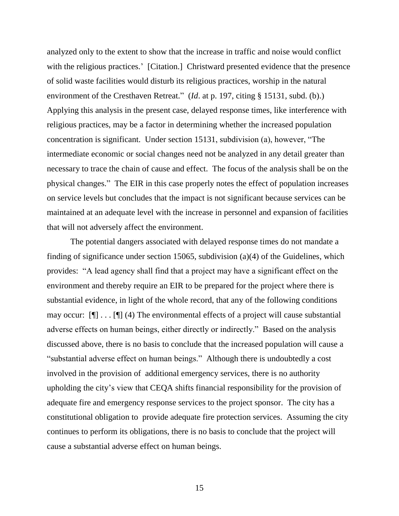analyzed only to the extent to show that the increase in traffic and noise would conflict with the religious practices.' [Citation.] Christward presented evidence that the presence of solid waste facilities would disturb its religious practices, worship in the natural environment of the Cresthaven Retreat." (*Id*. at p. 197, citing § 15131, subd. (b).) Applying this analysis in the present case, delayed response times, like interference with religious practices, may be a factor in determining whether the increased population concentration is significant. Under section 15131, subdivision (a), however, "The intermediate economic or social changes need not be analyzed in any detail greater than necessary to trace the chain of cause and effect. The focus of the analysis shall be on the physical changes." The EIR in this case properly notes the effect of population increases on service levels but concludes that the impact is not significant because services can be maintained at an adequate level with the increase in personnel and expansion of facilities that will not adversely affect the environment.

The potential dangers associated with delayed response times do not mandate a finding of significance under section 15065, subdivision (a)(4) of the Guidelines, which provides: "A lead agency shall find that a project may have a significant effect on the environment and thereby require an EIR to be prepared for the project where there is substantial evidence, in light of the whole record, that any of the following conditions may occur:  $[\n\mathbb{T} \dots \mathbb{T}]$  (4) The environmental effects of a project will cause substantial adverse effects on human beings, either directly or indirectly." Based on the analysis discussed above, there is no basis to conclude that the increased population will cause a "substantial adverse effect on human beings." Although there is undoubtedly a cost involved in the provision of additional emergency services, there is no authority upholding the city's view that CEQA shifts financial responsibility for the provision of adequate fire and emergency response services to the project sponsor. The city has a constitutional obligation to provide adequate fire protection services. Assuming the city continues to perform its obligations, there is no basis to conclude that the project will cause a substantial adverse effect on human beings.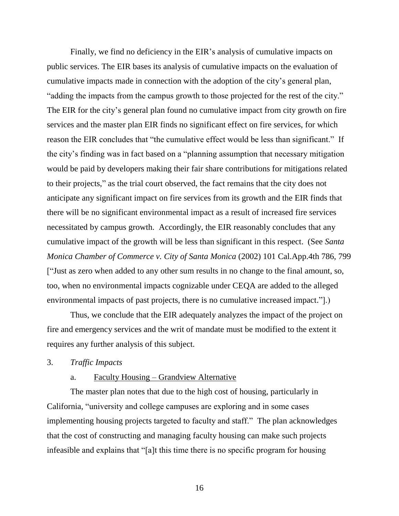Finally, we find no deficiency in the EIR's analysis of cumulative impacts on public services. The EIR bases its analysis of cumulative impacts on the evaluation of cumulative impacts made in connection with the adoption of the city's general plan, "adding the impacts from the campus growth to those projected for the rest of the city." The EIR for the city's general plan found no cumulative impact from city growth on fire services and the master plan EIR finds no significant effect on fire services, for which reason the EIR concludes that "the cumulative effect would be less than significant." If the city's finding was in fact based on a "planning assumption that necessary mitigation would be paid by developers making their fair share contributions for mitigations related to their projects," as the trial court observed, the fact remains that the city does not anticipate any significant impact on fire services from its growth and the EIR finds that there will be no significant environmental impact as a result of increased fire services necessitated by campus growth. Accordingly, the EIR reasonably concludes that any cumulative impact of the growth will be less than significant in this respect. (See *Santa Monica Chamber of Commerce v. City of Santa Monica* (2002) 101 Cal.App.4th 786, 799 ["Just as zero when added to any other sum results in no change to the final amount, so, too, when no environmental impacts cognizable under CEQA are added to the alleged environmental impacts of past projects, there is no cumulative increased impact."].)

Thus, we conclude that the EIR adequately analyzes the impact of the project on fire and emergency services and the writ of mandate must be modified to the extent it requires any further analysis of this subject.

3. *Traffic Impacts*

# a. Faculty Housing – Grandview Alternative

The master plan notes that due to the high cost of housing, particularly in California, "university and college campuses are exploring and in some cases implementing housing projects targeted to faculty and staff." The plan acknowledges that the cost of constructing and managing faculty housing can make such projects infeasible and explains that "[a]t this time there is no specific program for housing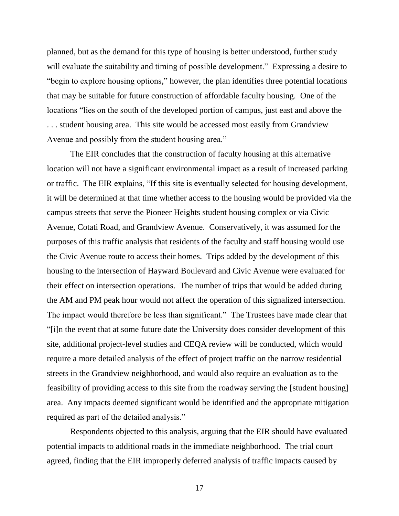planned, but as the demand for this type of housing is better understood, further study will evaluate the suitability and timing of possible development." Expressing a desire to "begin to explore housing options," however, the plan identifies three potential locations that may be suitable for future construction of affordable faculty housing. One of the locations "lies on the south of the developed portion of campus, just east and above the . . . student housing area. This site would be accessed most easily from Grandview Avenue and possibly from the student housing area."

The EIR concludes that the construction of faculty housing at this alternative location will not have a significant environmental impact as a result of increased parking or traffic. The EIR explains, "If this site is eventually selected for housing development, it will be determined at that time whether access to the housing would be provided via the campus streets that serve the Pioneer Heights student housing complex or via Civic Avenue, Cotati Road, and Grandview Avenue. Conservatively, it was assumed for the purposes of this traffic analysis that residents of the faculty and staff housing would use the Civic Avenue route to access their homes. Trips added by the development of this housing to the intersection of Hayward Boulevard and Civic Avenue were evaluated for their effect on intersection operations. The number of trips that would be added during the AM and PM peak hour would not affect the operation of this signalized intersection. The impact would therefore be less than significant." The Trustees have made clear that "[i]n the event that at some future date the University does consider development of this site, additional project-level studies and CEQA review will be conducted, which would require a more detailed analysis of the effect of project traffic on the narrow residential streets in the Grandview neighborhood, and would also require an evaluation as to the feasibility of providing access to this site from the roadway serving the [student housing] area. Any impacts deemed significant would be identified and the appropriate mitigation required as part of the detailed analysis."

Respondents objected to this analysis, arguing that the EIR should have evaluated potential impacts to additional roads in the immediate neighborhood. The trial court agreed, finding that the EIR improperly deferred analysis of traffic impacts caused by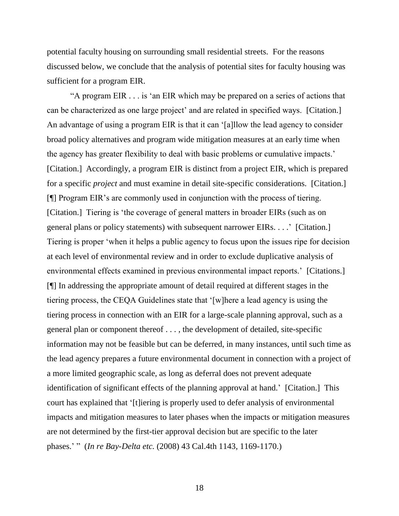potential faculty housing on surrounding small residential streets. For the reasons discussed below, we conclude that the analysis of potential sites for faculty housing was sufficient for a program EIR.

"A program EIR . . . is 'an EIR which may be prepared on a series of actions that can be characterized as one large project' and are related in specified ways. [Citation.] An advantage of using a program EIR is that it can '[a]llow the lead agency to consider broad policy alternatives and program wide mitigation measures at an early time when the agency has greater flexibility to deal with basic problems or cumulative impacts.' [Citation.] Accordingly, a program EIR is distinct from a project EIR, which is prepared for a specific *project* and must examine in detail site-specific considerations. [Citation.] [¶] Program EIR's are commonly used in conjunction with the process of tiering. [Citation.] Tiering is 'the coverage of general matters in broader EIRs (such as on general plans or policy statements) with subsequent narrower EIRs. . . .' [Citation.] Tiering is proper 'when it helps a public agency to focus upon the issues ripe for decision at each level of environmental review and in order to exclude duplicative analysis of environmental effects examined in previous environmental impact reports.' [Citations.] [¶] In addressing the appropriate amount of detail required at different stages in the tiering process, the CEQA Guidelines state that '[w]here a lead agency is using the tiering process in connection with an EIR for a large-scale planning approval, such as a general plan or component thereof . . . , the development of detailed, site-specific information may not be feasible but can be deferred, in many instances, until such time as the lead agency prepares a future environmental document in connection with a project of a more limited geographic scale, as long as deferral does not prevent adequate identification of significant effects of the planning approval at hand.' [Citation.] This court has explained that '[t]iering is properly used to defer analysis of environmental impacts and mitigation measures to later phases when the impacts or mitigation measures are not determined by the first-tier approval decision but are specific to the later phases.' " (*In re Bay-Delta etc.* (2008) 43 Cal.4th 1143, 1169-1170.)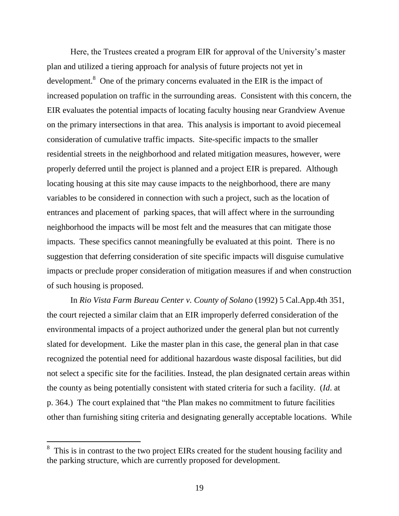Here, the Trustees created a program EIR for approval of the University's master plan and utilized a tiering approach for analysis of future projects not yet in development.<sup>8</sup> One of the primary concerns evaluated in the EIR is the impact of increased population on traffic in the surrounding areas. Consistent with this concern, the EIR evaluates the potential impacts of locating faculty housing near Grandview Avenue on the primary intersections in that area. This analysis is important to avoid piecemeal consideration of cumulative traffic impacts. Site-specific impacts to the smaller residential streets in the neighborhood and related mitigation measures, however, were properly deferred until the project is planned and a project EIR is prepared. Although locating housing at this site may cause impacts to the neighborhood, there are many variables to be considered in connection with such a project, such as the location of entrances and placement of parking spaces, that will affect where in the surrounding neighborhood the impacts will be most felt and the measures that can mitigate those impacts. These specifics cannot meaningfully be evaluated at this point. There is no suggestion that deferring consideration of site specific impacts will disguise cumulative impacts or preclude proper consideration of mitigation measures if and when construction of such housing is proposed.

In *Rio Vista Farm Bureau Center v. County of Solano* (1992) 5 Cal.App.4th 351, the court rejected a similar claim that an EIR improperly deferred consideration of the environmental impacts of a project authorized under the general plan but not currently slated for development. Like the master plan in this case, the general plan in that case recognized the potential need for additional hazardous waste disposal facilities, but did not select a specific site for the facilities. Instead, the plan designated certain areas within the county as being potentially consistent with stated criteria for such a facility. (*Id*. at p. 364.) The court explained that "the Plan makes no commitment to future facilities other than furnishing siting criteria and designating generally acceptable locations. While

 $\overline{a}$ 

<sup>8</sup> This is in contrast to the two project EIRs created for the student housing facility and the parking structure, which are currently proposed for development.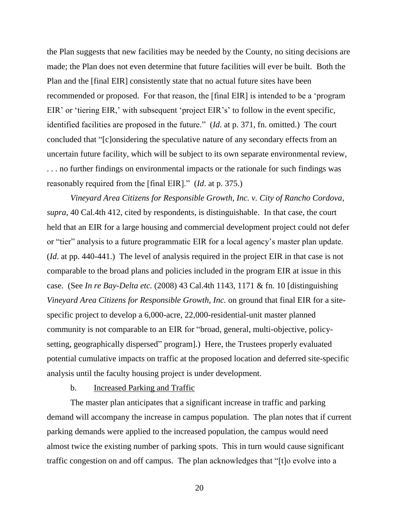the Plan suggests that new facilities may be needed by the County, no siting decisions are made; the Plan does not even determine that future facilities will ever be built. Both the Plan and the [final EIR] consistently state that no actual future sites have been recommended or proposed. For that reason, the [final EIR] is intended to be a 'program EIR' or 'tiering EIR,' with subsequent 'project EIR's' to follow in the event specific, identified facilities are proposed in the future." (*Id*. at p. 371, fn. omitted.) The court concluded that "[c]onsidering the speculative nature of any secondary effects from an uncertain future facility, which will be subject to its own separate environmental review, . . . no further findings on environmental impacts or the rationale for such findings was reasonably required from the [final EIR]." (*Id*. at p. 375.)

*Vineyard Area Citizens for Responsible Growth, Inc. v. City of Rancho Cordova, supra,* 40 Cal.4th 412, cited by respondents, is distinguishable. In that case, the court held that an EIR for a large housing and commercial development project could not defer or "tier" analysis to a future programmatic EIR for a local agency's master plan update. (*Id*. at pp. 440-441.) The level of analysis required in the project EIR in that case is not comparable to the broad plans and policies included in the program EIR at issue in this case. (See *In re Bay-Delta etc.* (2008) 43 Cal.4th 1143, 1171 & fn. 10 [distinguishing *Vineyard Area Citizens for Responsible Growth, Inc.* on ground that final EIR for a sitespecific project to develop a 6,000-acre, 22,000-residential-unit master planned community is not comparable to an EIR for "broad, general, multi-objective, policysetting, geographically dispersed" program].) Here, the Trustees properly evaluated potential cumulative impacts on traffic at the proposed location and deferred site-specific analysis until the faculty housing project is under development.

## b. Increased Parking and Traffic

The master plan anticipates that a significant increase in traffic and parking demand will accompany the increase in campus population. The plan notes that if current parking demands were applied to the increased population, the campus would need almost twice the existing number of parking spots. This in turn would cause significant traffic congestion on and off campus. The plan acknowledges that "[t]o evolve into a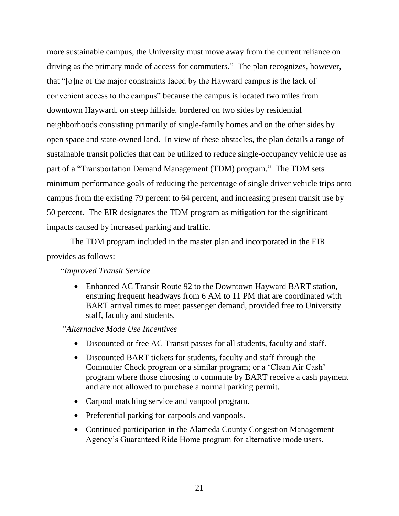more sustainable campus, the University must move away from the current reliance on driving as the primary mode of access for commuters." The plan recognizes, however, that "[o]ne of the major constraints faced by the Hayward campus is the lack of convenient access to the campus" because the campus is located two miles from downtown Hayward, on steep hillside, bordered on two sides by residential neighborhoods consisting primarily of single-family homes and on the other sides by open space and state-owned land. In view of these obstacles, the plan details a range of sustainable transit policies that can be utilized to reduce single-occupancy vehicle use as part of a "Transportation Demand Management (TDM) program." The TDM sets minimum performance goals of reducing the percentage of single driver vehicle trips onto campus from the existing 79 percent to 64 percent, and increasing present transit use by 50 percent. The EIR designates the TDM program as mitigation for the significant impacts caused by increased parking and traffic.

The TDM program included in the master plan and incorporated in the EIR provides as follows:

"*Improved Transit Service*

• Enhanced AC Transit Route 92 to the Downtown Hayward BART station, ensuring frequent headways from 6 AM to 11 PM that are coordinated with BART arrival times to meet passenger demand, provided free to University staff, faculty and students.

*"Alternative Mode Use Incentives*

- Discounted or free AC Transit passes for all students, faculty and staff.
- Discounted BART tickets for students, faculty and staff through the Commuter Check program or a similar program; or a 'Clean Air Cash' program where those choosing to commute by BART receive a cash payment and are not allowed to purchase a normal parking permit.
- Carpool matching service and vanpool program.
- Preferential parking for carpools and vanpools.
- Continued participation in the Alameda County Congestion Management Agency's Guaranteed Ride Home program for alternative mode users.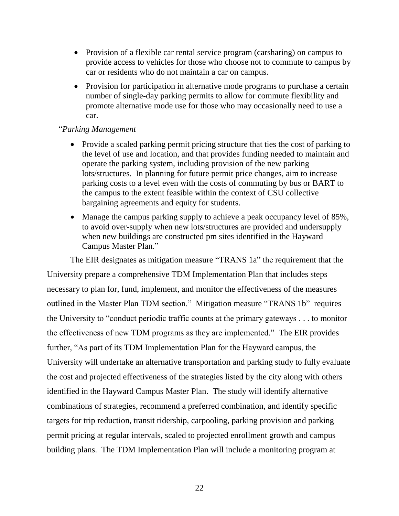- Provision of a flexible car rental service program (carsharing) on campus to provide access to vehicles for those who choose not to commute to campus by car or residents who do not maintain a car on campus.
- Provision for participation in alternative mode programs to purchase a certain number of single-day parking permits to allow for commute flexibility and promote alternative mode use for those who may occasionally need to use a car.

# "*Parking Management*

- Provide a scaled parking permit pricing structure that ties the cost of parking to the level of use and location, and that provides funding needed to maintain and operate the parking system, including provision of the new parking lots/structures. In planning for future permit price changes, aim to increase parking costs to a level even with the costs of commuting by bus or BART to the campus to the extent feasible within the context of CSU collective bargaining agreements and equity for students.
- Manage the campus parking supply to achieve a peak occupancy level of 85%, to avoid over-supply when new lots/structures are provided and undersupply when new buildings are constructed pm sites identified in the Hayward Campus Master Plan."

The EIR designates as mitigation measure "TRANS 1a" the requirement that the University prepare a comprehensive TDM Implementation Plan that includes steps necessary to plan for, fund, implement, and monitor the effectiveness of the measures outlined in the Master Plan TDM section." Mitigation measure "TRANS 1b" requires the University to "conduct periodic traffic counts at the primary gateways . . . to monitor the effectiveness of new TDM programs as they are implemented." The EIR provides further, "As part of its TDM Implementation Plan for the Hayward campus, the University will undertake an alternative transportation and parking study to fully evaluate the cost and projected effectiveness of the strategies listed by the city along with others identified in the Hayward Campus Master Plan. The study will identify alternative combinations of strategies, recommend a preferred combination, and identify specific targets for trip reduction, transit ridership, carpooling, parking provision and parking permit pricing at regular intervals, scaled to projected enrollment growth and campus building plans. The TDM Implementation Plan will include a monitoring program at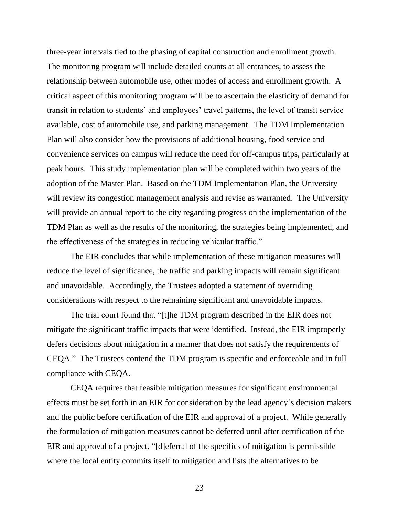three-year intervals tied to the phasing of capital construction and enrollment growth. The monitoring program will include detailed counts at all entrances, to assess the relationship between automobile use, other modes of access and enrollment growth. A critical aspect of this monitoring program will be to ascertain the elasticity of demand for transit in relation to students' and employees' travel patterns, the level of transit service available, cost of automobile use, and parking management. The TDM Implementation Plan will also consider how the provisions of additional housing, food service and convenience services on campus will reduce the need for off-campus trips, particularly at peak hours. This study implementation plan will be completed within two years of the adoption of the Master Plan. Based on the TDM Implementation Plan, the University will review its congestion management analysis and revise as warranted. The University will provide an annual report to the city regarding progress on the implementation of the TDM Plan as well as the results of the monitoring, the strategies being implemented, and the effectiveness of the strategies in reducing vehicular traffic."

The EIR concludes that while implementation of these mitigation measures will reduce the level of significance, the traffic and parking impacts will remain significant and unavoidable. Accordingly, the Trustees adopted a statement of overriding considerations with respect to the remaining significant and unavoidable impacts.

The trial court found that "[t]he TDM program described in the EIR does not mitigate the significant traffic impacts that were identified. Instead, the EIR improperly defers decisions about mitigation in a manner that does not satisfy the requirements of CEQA." The Trustees contend the TDM program is specific and enforceable and in full compliance with CEQA.

CEQA requires that feasible mitigation measures for significant environmental effects must be set forth in an EIR for consideration by the lead agency's decision makers and the public before certification of the EIR and approval of a project. While generally the formulation of mitigation measures cannot be deferred until after certification of the EIR and approval of a project, "[d]eferral of the specifics of mitigation is permissible where the local entity commits itself to mitigation and lists the alternatives to be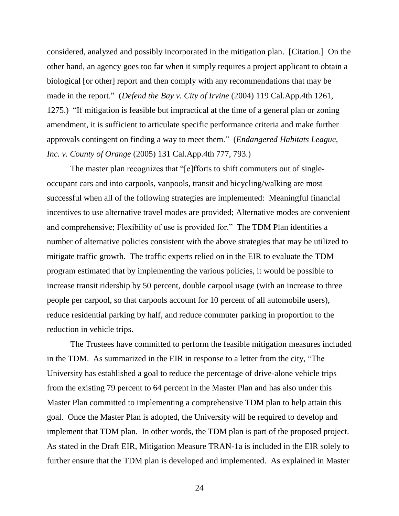considered, analyzed and possibly incorporated in the mitigation plan. [Citation.] On the other hand, an agency goes too far when it simply requires a project applicant to obtain a biological [or other] report and then comply with any recommendations that may be made in the report." (*Defend the Bay v. City of Irvine* (2004) 119 Cal.App.4th 1261, 1275.) "If mitigation is feasible but impractical at the time of a general plan or zoning amendment, it is sufficient to articulate specific performance criteria and make further approvals contingent on finding a way to meet them." (*Endangered Habitats League, Inc. v. County of Orange* (2005) 131 Cal.App.4th 777, 793.)

The master plan recognizes that "[e]fforts to shift commuters out of singleoccupant cars and into carpools, vanpools, transit and bicycling/walking are most successful when all of the following strategies are implemented: Meaningful financial incentives to use alternative travel modes are provided; Alternative modes are convenient and comprehensive; Flexibility of use is provided for." The TDM Plan identifies a number of alternative policies consistent with the above strategies that may be utilized to mitigate traffic growth. The traffic experts relied on in the EIR to evaluate the TDM program estimated that by implementing the various policies, it would be possible to increase transit ridership by 50 percent, double carpool usage (with an increase to three people per carpool, so that carpools account for 10 percent of all automobile users), reduce residential parking by half, and reduce commuter parking in proportion to the reduction in vehicle trips.

The Trustees have committed to perform the feasible mitigation measures included in the TDM. As summarized in the EIR in response to a letter from the city, "The University has established a goal to reduce the percentage of drive-alone vehicle trips from the existing 79 percent to 64 percent in the Master Plan and has also under this Master Plan committed to implementing a comprehensive TDM plan to help attain this goal. Once the Master Plan is adopted, the University will be required to develop and implement that TDM plan. In other words, the TDM plan is part of the proposed project. As stated in the Draft EIR, Mitigation Measure TRAN-1a is included in the EIR solely to further ensure that the TDM plan is developed and implemented. As explained in Master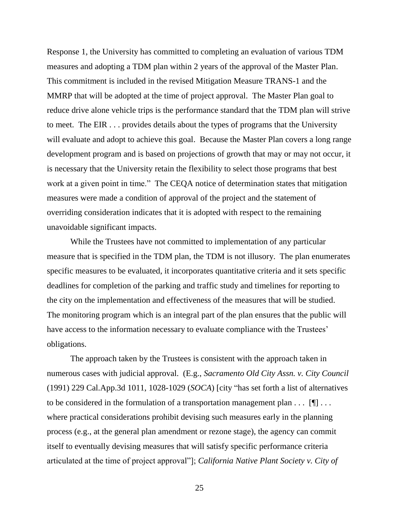Response 1, the University has committed to completing an evaluation of various TDM measures and adopting a TDM plan within 2 years of the approval of the Master Plan. This commitment is included in the revised Mitigation Measure TRANS-1 and the MMRP that will be adopted at the time of project approval. The Master Plan goal to reduce drive alone vehicle trips is the performance standard that the TDM plan will strive to meet. The EIR . . . provides details about the types of programs that the University will evaluate and adopt to achieve this goal. Because the Master Plan covers a long range development program and is based on projections of growth that may or may not occur, it is necessary that the University retain the flexibility to select those programs that best work at a given point in time." The CEQA notice of determination states that mitigation measures were made a condition of approval of the project and the statement of overriding consideration indicates that it is adopted with respect to the remaining unavoidable significant impacts.

While the Trustees have not committed to implementation of any particular measure that is specified in the TDM plan, the TDM is not illusory. The plan enumerates specific measures to be evaluated, it incorporates quantitative criteria and it sets specific deadlines for completion of the parking and traffic study and timelines for reporting to the city on the implementation and effectiveness of the measures that will be studied. The monitoring program which is an integral part of the plan ensures that the public will have access to the information necessary to evaluate compliance with the Trustees' obligations.

The approach taken by the Trustees is consistent with the approach taken in numerous cases with judicial approval. (E.g., *Sacramento Old City Assn. v. City Council* (1991) 229 Cal.App.3d 1011, 1028-1029 (*SOCA*) [city "has set forth a list of alternatives to be considered in the formulation of a transportation management plan  $\dots$  [ $\blacksquare$ ]... where practical considerations prohibit devising such measures early in the planning process (e.g., at the general plan amendment or rezone stage), the agency can commit itself to eventually devising measures that will satisfy specific performance criteria articulated at the time of project approval"]; *California Native Plant Society v. City of*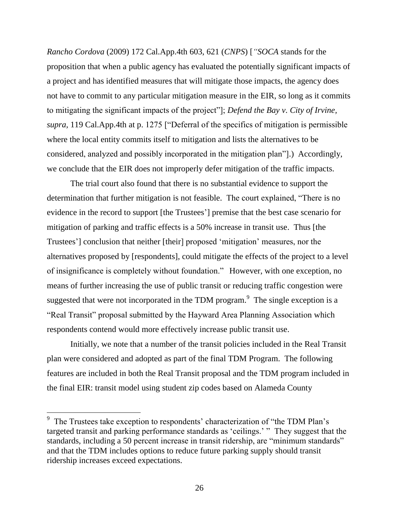*Rancho Cordova* (2009) 172 Cal.App.4th 603, 621 (*CNPS*) [*"SOCA* stands for the proposition that when a public agency has evaluated the potentially significant impacts of a project and has identified measures that will mitigate those impacts, the agency does not have to commit to any particular mitigation measure in the EIR, so long as it commits to mitigating the significant impacts of the project"]; *Defend the Bay v. City of Irvine, supra,* 119 Cal.App.4th at p. 1275 ["Deferral of the specifics of mitigation is permissible where the local entity commits itself to mitigation and lists the alternatives to be considered, analyzed and possibly incorporated in the mitigation plan"].) Accordingly, we conclude that the EIR does not improperly defer mitigation of the traffic impacts.

The trial court also found that there is no substantial evidence to support the determination that further mitigation is not feasible. The court explained, "There is no evidence in the record to support [the Trustees'] premise that the best case scenario for mitigation of parking and traffic effects is a 50% increase in transit use. Thus [the Trustees'] conclusion that neither [their] proposed 'mitigation' measures, nor the alternatives proposed by [respondents], could mitigate the effects of the project to a level of insignificance is completely without foundation." However, with one exception, no means of further increasing the use of public transit or reducing traffic congestion were suggested that were not incorporated in the TDM program. $\degree$  The single exception is a "Real Transit" proposal submitted by the Hayward Area Planning Association which respondents contend would more effectively increase public transit use.

Initially, we note that a number of the transit policies included in the Real Transit plan were considered and adopted as part of the final TDM Program. The following features are included in both the Real Transit proposal and the TDM program included in the final EIR: transit model using student zip codes based on Alameda County

<sup>&</sup>lt;sup>9</sup> The Trustees take exception to respondents' characterization of "the TDM Plan's targeted transit and parking performance standards as 'ceilings.' " They suggest that the standards, including a 50 percent increase in transit ridership, are "minimum standards" and that the TDM includes options to reduce future parking supply should transit ridership increases exceed expectations.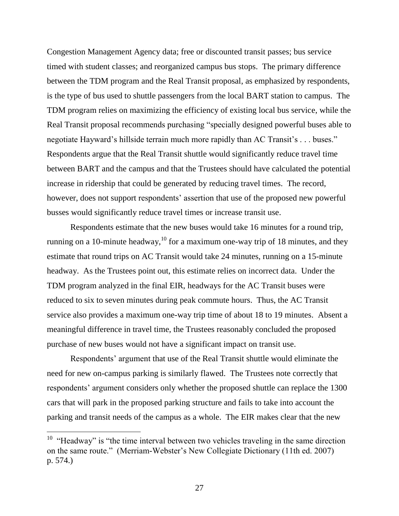Congestion Management Agency data; free or discounted transit passes; bus service timed with student classes; and reorganized campus bus stops. The primary difference between the TDM program and the Real Transit proposal, as emphasized by respondents, is the type of bus used to shuttle passengers from the local BART station to campus. The TDM program relies on maximizing the efficiency of existing local bus service, while the Real Transit proposal recommends purchasing "specially designed powerful buses able to negotiate Hayward's hillside terrain much more rapidly than AC Transit's . . . buses." Respondents argue that the Real Transit shuttle would significantly reduce travel time between BART and the campus and that the Trustees should have calculated the potential increase in ridership that could be generated by reducing travel times. The record, however, does not support respondents' assertion that use of the proposed new powerful busses would significantly reduce travel times or increase transit use.

Respondents estimate that the new buses would take 16 minutes for a round trip, running on a 10-minute headway,  $^{10}$  for a maximum one-way trip of 18 minutes, and they estimate that round trips on AC Transit would take 24 minutes, running on a 15-minute headway. As the Trustees point out, this estimate relies on incorrect data. Under the TDM program analyzed in the final EIR, headways for the AC Transit buses were reduced to six to seven minutes during peak commute hours. Thus, the AC Transit service also provides a maximum one-way trip time of about 18 to 19 minutes. Absent a meaningful difference in travel time, the Trustees reasonably concluded the proposed purchase of new buses would not have a significant impact on transit use.

Respondents' argument that use of the Real Transit shuttle would eliminate the need for new on-campus parking is similarly flawed. The Trustees note correctly that respondents' argument considers only whether the proposed shuttle can replace the 1300 cars that will park in the proposed parking structure and fails to take into account the parking and transit needs of the campus as a whole. The EIR makes clear that the new

 $10$  "Headway" is "the time interval between two vehicles traveling in the same direction on the same route." (Merriam-Webster's New Collegiate Dictionary (11th ed. 2007) p. 574.)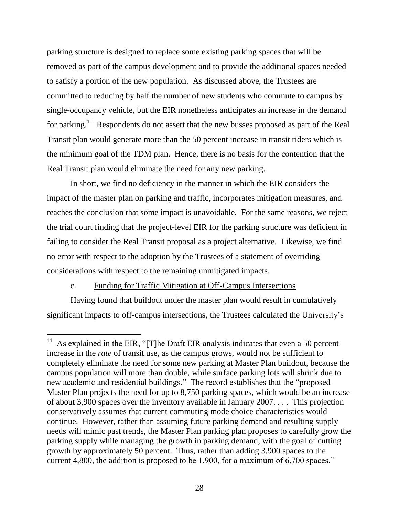parking structure is designed to replace some existing parking spaces that will be removed as part of the campus development and to provide the additional spaces needed to satisfy a portion of the new population. As discussed above, the Trustees are committed to reducing by half the number of new students who commute to campus by single-occupancy vehicle, but the EIR nonetheless anticipates an increase in the demand for parking.<sup>11</sup> Respondents do not assert that the new busses proposed as part of the Real Transit plan would generate more than the 50 percent increase in transit riders which is the minimum goal of the TDM plan. Hence, there is no basis for the contention that the Real Transit plan would eliminate the need for any new parking.

In short, we find no deficiency in the manner in which the EIR considers the impact of the master plan on parking and traffic, incorporates mitigation measures, and reaches the conclusion that some impact is unavoidable. For the same reasons, we reject the trial court finding that the project-level EIR for the parking structure was deficient in failing to consider the Real Transit proposal as a project alternative. Likewise, we find no error with respect to the adoption by the Trustees of a statement of overriding considerations with respect to the remaining unmitigated impacts.

# c. Funding for Traffic Mitigation at Off-Campus Intersections

Having found that buildout under the master plan would result in cumulatively significant impacts to off-campus intersections, the Trustees calculated the University's

<sup>&</sup>lt;sup>11</sup> As explained in the EIR, "[T]he Draft EIR analysis indicates that even a 50 percent increase in the *rate* of transit use, as the campus grows, would not be sufficient to completely eliminate the need for some new parking at Master Plan buildout, because the campus population will more than double, while surface parking lots will shrink due to new academic and residential buildings." The record establishes that the "proposed Master Plan projects the need for up to 8,750 parking spaces, which would be an increase of about 3,900 spaces over the inventory available in January 2007. . . . This projection conservatively assumes that current commuting mode choice characteristics would continue. However, rather than assuming future parking demand and resulting supply needs will mimic past trends, the Master Plan parking plan proposes to carefully grow the parking supply while managing the growth in parking demand, with the goal of cutting growth by approximately 50 percent. Thus, rather than adding 3,900 spaces to the current 4,800, the addition is proposed to be 1,900, for a maximum of 6,700 spaces."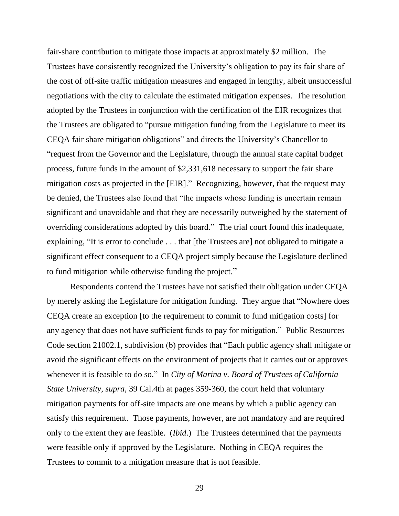fair-share contribution to mitigate those impacts at approximately \$2 million. The Trustees have consistently recognized the University's obligation to pay its fair share of the cost of off-site traffic mitigation measures and engaged in lengthy, albeit unsuccessful negotiations with the city to calculate the estimated mitigation expenses. The resolution adopted by the Trustees in conjunction with the certification of the EIR recognizes that the Trustees are obligated to "pursue mitigation funding from the Legislature to meet its CEQA fair share mitigation obligations" and directs the University's Chancellor to "request from the Governor and the Legislature, through the annual state capital budget process, future funds in the amount of \$2,331,618 necessary to support the fair share mitigation costs as projected in the [EIR]." Recognizing, however, that the request may be denied, the Trustees also found that "the impacts whose funding is uncertain remain significant and unavoidable and that they are necessarily outweighed by the statement of overriding considerations adopted by this board." The trial court found this inadequate, explaining, "It is error to conclude . . . that [the Trustees are] not obligated to mitigate a significant effect consequent to a CEQA project simply because the Legislature declined to fund mitigation while otherwise funding the project."

Respondents contend the Trustees have not satisfied their obligation under CEQA by merely asking the Legislature for mitigation funding. They argue that "Nowhere does CEQA create an exception [to the requirement to commit to fund mitigation costs] for any agency that does not have sufficient funds to pay for mitigation." Public Resources Code section 21002.1, subdivision (b) provides that "Each public agency shall mitigate or avoid the significant effects on the environment of projects that it carries out or approves whenever it is feasible to do so." In *City of Marina v. Board of Trustees of California State University*, *supra*, 39 Cal.4th at pages 359-360, the court held that voluntary mitigation payments for off-site impacts are one means by which a public agency can satisfy this requirement. Those payments, however, are not mandatory and are required only to the extent they are feasible. (*Ibid*.) The Trustees determined that the payments were feasible only if approved by the Legislature. Nothing in CEQA requires the Trustees to commit to a mitigation measure that is not feasible.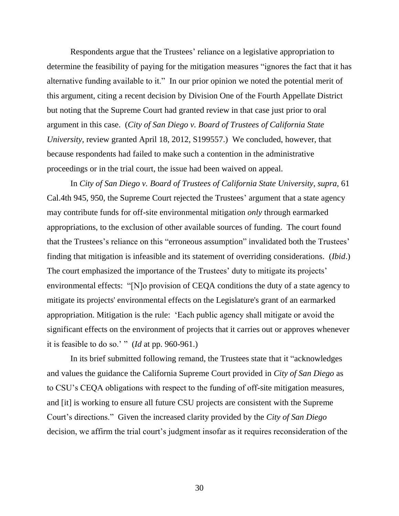Respondents argue that the Trustees' reliance on a legislative appropriation to determine the feasibility of paying for the mitigation measures "ignores the fact that it has alternative funding available to it." In our prior opinion we noted the potential merit of this argument, citing a recent decision by Division One of the Fourth Appellate District but noting that the Supreme Court had granted review in that case just prior to oral argument in this case. (*City of San Diego v. Board of Trustees of California State University*, review granted April 18, 2012, S199557.) We concluded, however, that because respondents had failed to make such a contention in the administrative proceedings or in the trial court, the issue had been waived on appeal.

In *City of San Diego v. Board of Trustees of California State University*, *supra*, 61 Cal.4th 945, 950, the Supreme Court rejected the Trustees' argument that a state agency may contribute funds for off-site environmental mitigation *only* through earmarked appropriations, to the exclusion of other available sources of funding. The court found that the Trustees's reliance on this "erroneous assumption" invalidated both the Trustees' finding that mitigation is infeasible and its statement of overriding considerations. (*Ibid*.) The court emphasized the importance of the Trustees' duty to mitigate its projects' environmental effects: "[N]o provision of CEQA conditions the duty of a state agency to mitigate its projects' environmental effects on the Legislature's grant of an earmarked appropriation. Mitigation is the rule: 'Each public agency shall mitigate or avoid the significant effects on the environment of projects that it carries out or approves whenever it is feasible to do so.' " (*Id* at pp. 960-961.)

In its brief submitted following remand, the Trustees state that it "acknowledges and values the guidance the California Supreme Court provided in *City of San Diego* as to CSU's CEQA obligations with respect to the funding of off-site mitigation measures, and [it] is working to ensure all future CSU projects are consistent with the Supreme Court's directions." Given the increased clarity provided by the *City of San Diego* decision, we affirm the trial court's judgment insofar as it requires reconsideration of the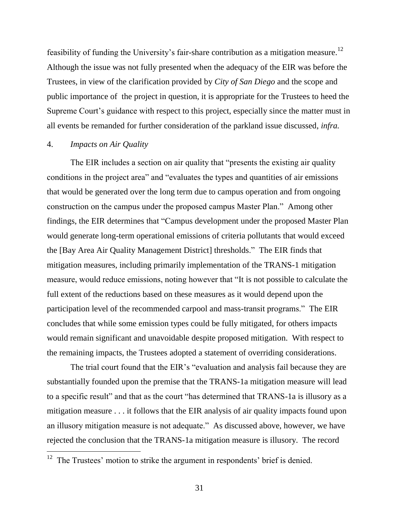feasibility of funding the University's fair-share contribution as a mitigation measure.<sup>12</sup> Although the issue was not fully presented when the adequacy of the EIR was before the Trustees, in view of the clarification provided by *City of San Diego* and the scope and public importance of the project in question, it is appropriate for the Trustees to heed the Supreme Court's guidance with respect to this project, especially since the matter must in all events be remanded for further consideration of the parkland issue discussed, *infra.*

# 4. *Impacts on Air Quality*

 $\overline{a}$ 

The EIR includes a section on air quality that "presents the existing air quality conditions in the project area" and "evaluates the types and quantities of air emissions that would be generated over the long term due to campus operation and from ongoing construction on the campus under the proposed campus Master Plan." Among other findings, the EIR determines that "Campus development under the proposed Master Plan would generate long-term operational emissions of criteria pollutants that would exceed the [Bay Area Air Quality Management District] thresholds." The EIR finds that mitigation measures, including primarily implementation of the TRANS-1 mitigation measure, would reduce emissions, noting however that "It is not possible to calculate the full extent of the reductions based on these measures as it would depend upon the participation level of the recommended carpool and mass-transit programs." The EIR concludes that while some emission types could be fully mitigated, for others impacts would remain significant and unavoidable despite proposed mitigation. With respect to the remaining impacts, the Trustees adopted a statement of overriding considerations.

The trial court found that the EIR's "evaluation and analysis fail because they are substantially founded upon the premise that the TRANS-1a mitigation measure will lead to a specific result" and that as the court "has determined that TRANS-1a is illusory as a mitigation measure . . . it follows that the EIR analysis of air quality impacts found upon an illusory mitigation measure is not adequate." As discussed above, however, we have rejected the conclusion that the TRANS-1a mitigation measure is illusory. The record

 $12$  The Trustees' motion to strike the argument in respondents' brief is denied.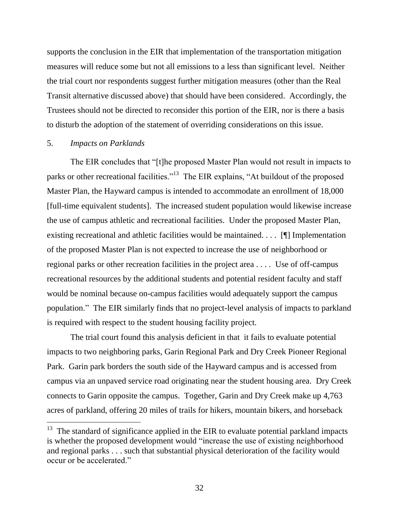supports the conclusion in the EIR that implementation of the transportation mitigation measures will reduce some but not all emissions to a less than significant level. Neither the trial court nor respondents suggest further mitigation measures (other than the Real Transit alternative discussed above) that should have been considered. Accordingly, the Trustees should not be directed to reconsider this portion of the EIR, nor is there a basis to disturb the adoption of the statement of overriding considerations on this issue.

#### 5. *Impacts on Parklands*

The EIR concludes that "[t]he proposed Master Plan would not result in impacts to parks or other recreational facilities."<sup>13</sup> The EIR explains, "At buildout of the proposed Master Plan, the Hayward campus is intended to accommodate an enrollment of 18,000 [full-time equivalent students]. The increased student population would likewise increase the use of campus athletic and recreational facilities. Under the proposed Master Plan, existing recreational and athletic facilities would be maintained. . . . [¶] Implementation of the proposed Master Plan is not expected to increase the use of neighborhood or regional parks or other recreation facilities in the project area . . . . Use of off-campus recreational resources by the additional students and potential resident faculty and staff would be nominal because on-campus facilities would adequately support the campus population." The EIR similarly finds that no project-level analysis of impacts to parkland is required with respect to the student housing facility project.

The trial court found this analysis deficient in that it fails to evaluate potential impacts to two neighboring parks, Garin Regional Park and Dry Creek Pioneer Regional Park. Garin park borders the south side of the Hayward campus and is accessed from campus via an unpaved service road originating near the student housing area. Dry Creek connects to Garin opposite the campus. Together, Garin and Dry Creek make up 4,763 acres of parkland, offering 20 miles of trails for hikers, mountain bikers, and horseback

 $13$  The standard of significance applied in the EIR to evaluate potential parkland impacts is whether the proposed development would "increase the use of existing neighborhood and regional parks . . . such that substantial physical deterioration of the facility would occur or be accelerated."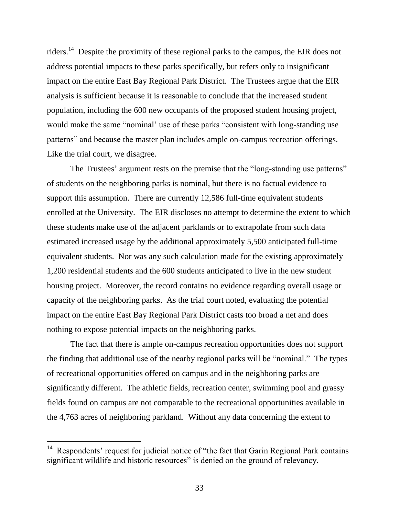riders.<sup>14</sup> Despite the proximity of these regional parks to the campus, the EIR does not address potential impacts to these parks specifically, but refers only to insignificant impact on the entire East Bay Regional Park District. The Trustees argue that the EIR analysis is sufficient because it is reasonable to conclude that the increased student population, including the 600 new occupants of the proposed student housing project, would make the same "nominal' use of these parks "consistent with long-standing use patterns" and because the master plan includes ample on-campus recreation offerings. Like the trial court, we disagree.

The Trustees' argument rests on the premise that the "long-standing use patterns" of students on the neighboring parks is nominal, but there is no factual evidence to support this assumption. There are currently 12,586 full-time equivalent students enrolled at the University. The EIR discloses no attempt to determine the extent to which these students make use of the adjacent parklands or to extrapolate from such data estimated increased usage by the additional approximately 5,500 anticipated full-time equivalent students. Nor was any such calculation made for the existing approximately 1,200 residential students and the 600 students anticipated to live in the new student housing project. Moreover, the record contains no evidence regarding overall usage or capacity of the neighboring parks. As the trial court noted, evaluating the potential impact on the entire East Bay Regional Park District casts too broad a net and does nothing to expose potential impacts on the neighboring parks.

The fact that there is ample on-campus recreation opportunities does not support the finding that additional use of the nearby regional parks will be "nominal." The types of recreational opportunities offered on campus and in the neighboring parks are significantly different. The athletic fields, recreation center, swimming pool and grassy fields found on campus are not comparable to the recreational opportunities available in the 4,763 acres of neighboring parkland. Without any data concerning the extent to

 $\overline{a}$ 

<sup>&</sup>lt;sup>14</sup> Respondents' request for judicial notice of "the fact that Garin Regional Park contains significant wildlife and historic resources" is denied on the ground of relevancy.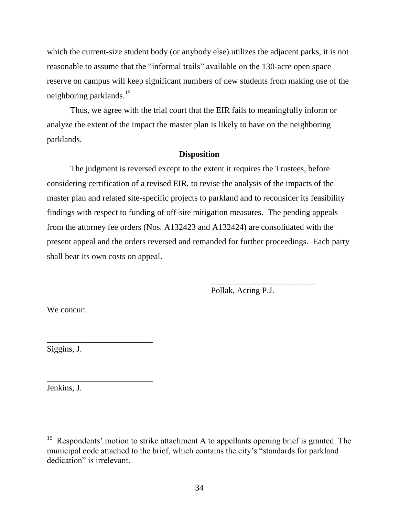which the current-size student body (or anybody else) utilizes the adjacent parks, it is not reasonable to assume that the "informal trails" available on the 130-acre open space reserve on campus will keep significant numbers of new students from making use of the neighboring parklands.<sup>15</sup>

Thus, we agree with the trial court that the EIR fails to meaningfully inform or analyze the extent of the impact the master plan is likely to have on the neighboring parklands.

#### **Disposition**

The judgment is reversed except to the extent it requires the Trustees, before considering certification of a revised EIR, to revise the analysis of the impacts of the master plan and related site-specific projects to parkland and to reconsider its feasibility findings with respect to funding of off-site mitigation measures. The pending appeals from the attorney fee orders (Nos. A132423 and A132424) are consolidated with the present appeal and the orders reversed and remanded for further proceedings. Each party shall bear its own costs on appeal.

Pollak, Acting P.J.

\_\_\_\_\_\_\_\_\_\_\_\_\_\_\_\_\_\_\_\_\_\_\_\_\_

We concur:

Siggins, J.

\_\_\_\_\_\_\_\_\_\_\_\_\_\_\_\_\_\_\_\_\_\_\_\_\_

\_\_\_\_\_\_\_\_\_\_\_\_\_\_\_\_\_\_\_\_\_\_\_\_\_

Jenkins, J.

<sup>&</sup>lt;sup>15</sup> Respondents' motion to strike attachment A to appellants opening brief is granted. The municipal code attached to the brief, which contains the city's "standards for parkland dedication" is irrelevant.